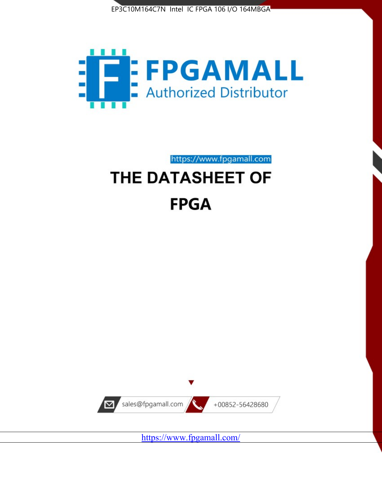



https://www.fpgamall.com

# THE DATASHEET OF **FPGA**



<https://www.fpgamall.com/>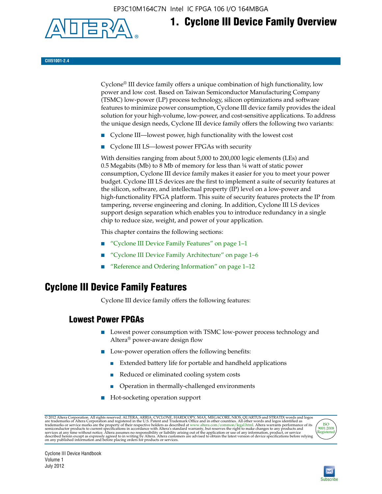EP3C10M164C7N Intel IC FPGA 106 I/O 164MBGA



## **1. Cyclone III Device Family Overview**

#### **CIII51001-2.4**

Cyclone® III device family offers a unique combination of high functionality, low power and low cost. Based on Taiwan Semiconductor Manufacturing Company (TSMC) low-power (LP) process technology, silicon optimizations and software features to minimize power consumption, Cyclone III device family provides the ideal solution for your high-volume, low-power, and cost-sensitive applications. To address the unique design needs, Cyclone III device family offers the following two variants:

- Cyclone III—lowest power, high functionality with the lowest cost
- Cyclone III LS—lowest power FPGAs with security

With densities ranging from about 5,000 to 200,000 logic elements (LEs) and 0.5 Megabits (Mb) to 8 Mb of memory for less than ¼ watt of static power consumption, Cyclone III device family makes it easier for you to meet your power budget. Cyclone III LS devices are the first to implement a suite of security features at the silicon, software, and intellectual property (IP) level on a low-power and high-functionality FPGA platform. This suite of security features protects the IP from tampering, reverse engineering and cloning. In addition, Cyclone III LS devices support design separation which enables you to introduce redundancy in a single chip to reduce size, weight, and power of your application.

This chapter contains the following sections:

- "Cyclone III Device Family Features" on page 1–1
- "Cyclone III Device Family Architecture" on page 1–6
- "Reference and Ordering Information" on page 1–12

### **Cyclone III Device Family Features**

Cyclone III device family offers the following features:

#### **Lowest Power FPGAs**

- Lowest power consumption with TSMC low-power process technology and Altera® power-aware design flow
- Low-power operation offers the following benefits:
	- Extended battery life for portable and handheld applications
	- Reduced or eliminated cooling system costs
	- Operation in thermally-challenged environments
- Hot-socketing operation support

@ 2012 Altera Corporation. All rights reserved. ALTERA, ARRIA, CYCLONE, HARDCOPY, MAX, MEGACORE, NIOS, QUARTUS and STRATIX words and logos are trademarks of Altera Corporation and registered in the U.S. Patent and Trademar



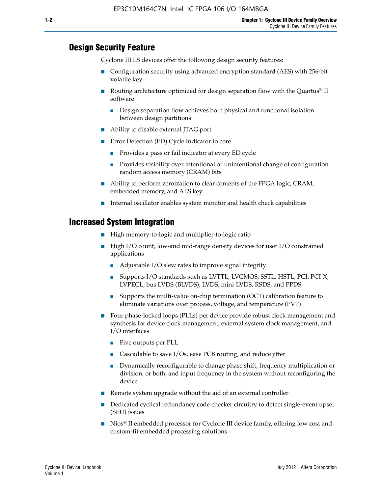#### **Design Security Feature**

Cyclone III LS devices offer the following design security features:

- Configuration security using advanced encryption standard (AES) with 256-bit volatile key
- **■** Routing architecture optimized for design separation flow with the Quartus<sup>®</sup> II software
	- Design separation flow achieves both physical and functional isolation between design partitions
- Ability to disable external JTAG port
- Error Detection (ED) Cycle Indicator to core
	- Provides a pass or fail indicator at every ED cycle
	- Provides visibility over intentional or unintentional change of configuration random access memory (CRAM) bits
- Ability to perform zeroization to clear contents of the FPGA logic, CRAM, embedded memory, and AES key
- Internal oscillator enables system monitor and health check capabilities

#### **Increased System Integration**

- High memory-to-logic and multiplier-to-logic ratio
- High I/O count, low-and mid-range density devices for user I/O constrained applications
	- Adjustable I/O slew rates to improve signal integrity
	- Supports I/O standards such as LVTTL, LVCMOS, SSTL, HSTL, PCI, PCI-X, LVPECL, bus LVDS (BLVDS), LVDS, mini-LVDS, RSDS, and PPDS
	- Supports the multi-value on-chip termination (OCT) calibration feature to eliminate variations over process, voltage, and temperature (PVT)
- Four phase-locked loops (PLLs) per device provide robust clock management and synthesis for device clock management, external system clock management, and I/O interfaces
	- Five outputs per PLL
	- Cascadable to save I/Os, ease PCB routing, and reduce jitter
	- Dynamically reconfigurable to change phase shift, frequency multiplication or division, or both, and input frequency in the system without reconfiguring the device
- Remote system upgrade without the aid of an external controller
- Dedicated cyclical redundancy code checker circuitry to detect single-event upset (SEU) issues
- Nios<sup>®</sup> II embedded processor for Cyclone III device family, offering low cost and custom-fit embedded processing solutions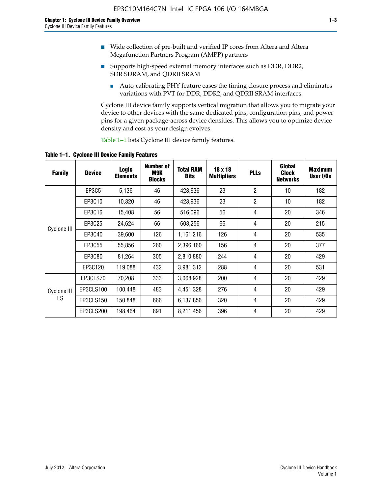- Wide collection of pre-built and verified IP cores from Altera and Altera Megafunction Partners Program (AMPP) partners
- Supports high-speed external memory interfaces such as DDR, DDR2, SDR SDRAM, and QDRII SRAM
	- Auto-calibrating PHY feature eases the timing closure process and eliminates variations with PVT for DDR, DDR2, and QDRII SRAM interfaces

Cyclone III device family supports vertical migration that allows you to migrate your device to other devices with the same dedicated pins, configuration pins, and power pins for a given package-across device densities. This allows you to optimize device density and cost as your design evolves.

Table 1–1 lists Cyclone III device family features.

**Table 1–1. Cyclone III Device Family Features**

| <b>Family</b> | <b>Device</b> | Logic<br><b>Elements</b> | <b>Number of</b><br>M9K<br><b>Blocks</b> | <b>Total RAM</b><br><b>Bits</b> | 18 x 18<br><b>Multipliers</b> | <b>PLLs</b>    | Global<br><b>Clock</b><br><b>Networks</b> | <b>Maximum</b><br>User I/Os |
|---------------|---------------|--------------------------|------------------------------------------|---------------------------------|-------------------------------|----------------|-------------------------------------------|-----------------------------|
|               | EP3C5         | 5,136                    | 46                                       | 423,936                         | 23                            | $\overline{2}$ | 10                                        | 182                         |
|               | EP3C10        | 10,320                   | 46                                       | 423,936                         | 23                            | $\overline{2}$ | 10                                        | 182                         |
|               | EP3C16        | 15,408                   | 56                                       | 516,096                         | 56                            | 4              | 20                                        | 346                         |
| Cyclone III   | EP3C25        | 24,624                   | 66                                       | 608,256                         | 66                            | 4              | 20                                        | 215                         |
|               | EP3C40        | 39,600                   | 126                                      | 1,161,216                       | 126                           | 4              | 20                                        | 535                         |
|               | EP3C55        | 55,856                   | 260                                      | 2,396,160                       | 156                           | 4              | 20                                        | 377                         |
|               | EP3C80        | 81,264                   | 305                                      | 2,810,880                       | 244                           | 4              | 20                                        | 429                         |
|               | EP3C120       | 119,088                  | 432                                      | 3,981,312                       | 288                           | 4              | 20                                        | 531                         |
|               | EP3CLS70      | 70,208                   | 333                                      | 3,068,928                       | 200                           | 4              | 20                                        | 429                         |
| Cyclone III   | EP3CLS100     | 100,448                  | 483                                      | 4,451,328                       | 276                           | 4              | 20                                        | 429                         |
| LS            | EP3CLS150     | 150,848                  | 666                                      | 6,137,856                       | 320                           | 4              | 20                                        | 429                         |
|               | EP3CLS200     | 198,464                  | 891                                      | 8,211,456                       | 396                           | 4              | 20                                        | 429                         |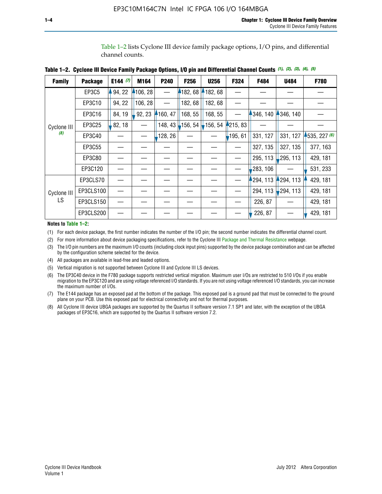Table 1–2 lists Cyclone III device family package options, I/O pins, and differential channel counts.

| Table 1–2.  Cyclone III Device Family Package Options, I/O pin and Differential Channel Counts (1), (2), (3), (4), (5) |
|------------------------------------------------------------------------------------------------------------------------|
|                                                                                                                        |

| <b>Family</b>     | <b>Package</b> | E144 $(7)$ | M164     | P240    | F256       | <b>U256</b> | F324     | F484     | <b>U484</b> | F780         |
|-------------------|----------------|------------|----------|---------|------------|-------------|----------|----------|-------------|--------------|
|                   | EP3C5          | 94, 22     | 4106, 28 |         | 182, 68    | 182, 68     |          |          |             |              |
|                   | EP3C10         | 94, 22     | 106, 28  |         | 182, 68    | 182, 68     |          |          |             |              |
|                   | EP3C16         | 84, 19     | 92, 23   | 160, 47 | 168, 55    | 168, 55     |          | 346, 140 | 4346, 140   |              |
| Cyclone III       | EP3C25         | 82, 18     |          | 148, 43 | $-156, 54$ | 156, 54     | 4215, 83 |          |             |              |
| (8)               | EP3C40         |            |          | 128, 26 |            |             | 195, 61  | 331, 127 | 331, 127    | 1535, 227(6) |
|                   | EP3C55         |            |          |         |            |             |          | 327, 135 | 327, 135    | 377, 163     |
|                   | EP3C80         |            |          |         |            |             |          | 295, 113 | 295, 113    | 429, 181     |
|                   | EP3C120        |            |          |         |            |             |          | 283, 106 |             | 531, 233     |
|                   | EP3CLS70       |            |          |         |            |             |          | 294, 113 | 4294, 113   | 429, 181     |
| Cyclone III<br>LS | EP3CLS100      |            |          |         |            |             |          | 294, 113 | 294, 113    | 429, 181     |
|                   | EP3CLS150      |            |          |         |            |             |          | 226, 87  |             | 429, 181     |
|                   | EP3CLS200      |            |          |         |            |             |          | 226, 87  |             | 429, 181     |

**Notes to Table 1–2:**

(1) For each device package, the first number indicates the number of the I/O pin; the second number indicates the differential channel count.

(2) For more information about device packaging specifications, refer to the Cyclone III [Package and Thermal Resistance](http://www.altera.com/support/devices/packaging/specifications/pkg-pin/dev-package-listing.jsp?device=Cyclone_III) webpage.

(3) The I/O pin numbers are the maximum I/O counts (including clock input pins) supported by the device package combination and can be affected by the configuration scheme selected for the device.

(4) All packages are available in lead-free and leaded options.

(5) Vertical migration is not supported between Cyclone III and Cyclone III LS devices.

(6) The EP3C40 device in the F780 package supports restricted vertical migration. Maximum user I/Os are restricted to 510 I/Os if you enable migration to the EP3C120 and are using voltage referenced I/O standards. If you are not using voltage referenced I/O standards, you can increase the maximum number of I/Os.

(7) The E144 package has an exposed pad at the bottom of the package. This exposed pad is a ground pad that must be connected to the ground plane on your PCB. Use this exposed pad for electrical connectivity and not for thermal purposes.

(8) All Cyclone III device UBGA packages are supported by the Quartus II software version 7.1 SP1 and later, with the exception of the UBGA packages of EP3C16, which are supported by the Quartus II software version 7.2.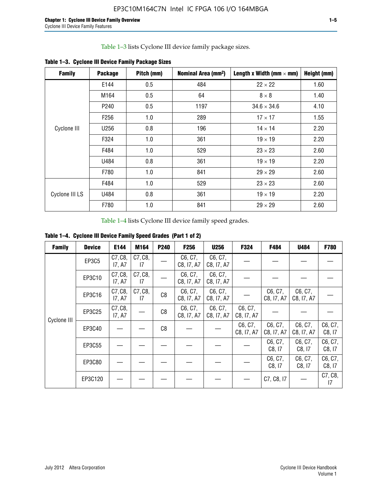Table 1–3 lists Cyclone III device family package sizes.

| <b>Family</b>  | <b>Package</b>   | Pitch (mm) | Nominal Area (mm <sup>2</sup> ) | Length x Width (mm $\times$ mm) | Height (mm) |
|----------------|------------------|------------|---------------------------------|---------------------------------|-------------|
|                | E144             | 0.5        | 484                             | $22 \times 22$                  | 1.60        |
|                | M164             | 0.5        | 64                              | $8 \times 8$                    | 1.40        |
|                | P <sub>240</sub> | 0.5        | 1197                            | $34.6 \times 34.6$              | 4.10        |
|                | F <sub>256</sub> | 1.0        | 289                             | $17 \times 17$                  | 1.55        |
| Cyclone III    | U256             | 0.8        | 196                             | $14 \times 14$                  | 2.20        |
|                | F324             | 1.0        | 361                             | $19 \times 19$                  | 2.20        |
|                | F484             | 1.0        | 529                             | $23 \times 23$                  | 2.60        |
|                | U484             | 0.8        | 361                             | $19 \times 19$                  | 2.20        |
|                | F780             | 1.0        | 841                             | $29 \times 29$                  | 2.60        |
|                | F484             | 1.0        | 529                             | $23 \times 23$                  | 2.60        |
| Cyclone III LS | U484             | 0.8        | 361                             | $19 \times 19$                  | 2.20        |
|                | F780             | 1.0        | 841                             | $29 \times 29$                  | 2.60        |

**Table 1–3. Cyclone III Device Family Package Sizes**

Table 1–4 lists Cyclone III device family speed grades.

**Table 1–4. Cyclone III Device Family Speed Grades (Part 1 of 2)**

| <b>Family</b> | <b>Device</b> | E144              | M164          | <b>P240</b>    | F <sub>256</sub>      | <b>U256</b>           | F324                  | F484                  | U484                  | <b>F780</b>       |
|---------------|---------------|-------------------|---------------|----------------|-----------------------|-----------------------|-----------------------|-----------------------|-----------------------|-------------------|
|               | <b>EP3C5</b>  | C7, C8,<br>17, A7 | C7, C8,<br>17 |                | C6, C7,<br>C8, I7, A7 | C6, C7,<br>C8, I7, A7 |                       |                       |                       |                   |
|               | EP3C10        | C7, C8,<br>17, A7 | C7, C8,<br>17 |                | C6, C7,<br>C8, I7, A7 | C6, C7,<br>C8, I7, A7 |                       |                       |                       |                   |
|               | EP3C16        | C7, C8,<br>17, A7 | C7, C8,<br>17 | C <sub>8</sub> | C6, C7,<br>C8, I7, A7 | C6, C7,<br>C8, I7, A7 |                       | C6, C7,<br>C8, I7, A7 | C6, C7,<br>C8, I7, A7 |                   |
| Cyclone III   | EP3C25        | C7, C8,<br>17, A7 |               | C8             | C6, C7,<br>C8, I7, A7 | C6, C7,<br>C8, I7, A7 | C6, C7,<br>C8, I7, A7 |                       |                       |                   |
|               | EP3C40        |                   |               | C8             |                       |                       | C6, C7,<br>C8, I7, A7 | C6, C7,<br>C8, I7, A7 | C6, C7,<br>C8, I7, A7 | C6, C7,<br>C8, 17 |
|               | EP3C55        |                   |               |                |                       |                       |                       | C6, C7,<br>C8, 17     | C6, C7,<br>C8, 17     | C6, C7,<br>C8, 17 |
|               | EP3C80        |                   |               |                |                       |                       |                       | C6, C7,<br>C8, 17     | C6, C7,<br>C8, 17     | C6, C7,<br>C8, 17 |
|               | EP3C120       |                   |               |                |                       |                       |                       | C7, C8, I7            |                       | C7, C8,<br>17     |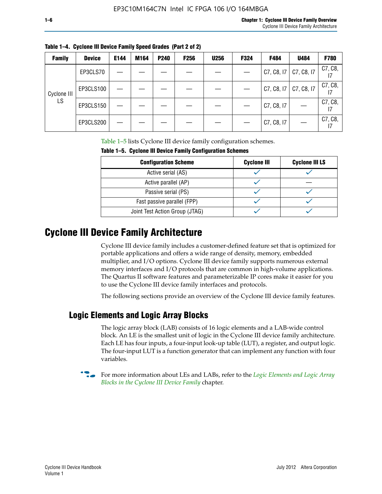| $1$ and $1 - 4$ . Cyclone in Device Falliny speed diages (Fail Z of Z) |               |      |      |                  |             |             |             |  |
|------------------------------------------------------------------------|---------------|------|------|------------------|-------------|-------------|-------------|--|
| Family                                                                 | <b>Device</b> | E144 | M164 | P <sub>240</sub> | <b>F256</b> | <b>U256</b> | <b>F324</b> |  |
|                                                                        |               |      |      |                  |             |             |             |  |

**Table 1–4. Cyclone III Device Family Speed Grades (Part 2 of 2)**

| <b>Family</b> | <b>Device</b> | E144 | M164 | P240 | <b>F256</b> | <b>U256</b> | F324 | F484       | U484       | F780    |
|---------------|---------------|------|------|------|-------------|-------------|------|------------|------------|---------|
|               | EP3CLS70      |      |      |      |             |             |      | C7, C8, I7 | C7, C8, I7 | C7, C8, |
| Cyclone III   | EP3CLS100     |      |      |      |             |             |      | C7, C8, I7 | C7, C8, I7 | C7, C8, |
| LS            | EP3CLS150     |      |      |      |             |             |      | C7, C8, I7 |            | C7, C8, |
|               | EP3CLS200     |      |      |      |             |             |      | C7, C8, I7 |            | C7, C8, |

Table 1–5 lists Cyclone III device family configuration schemes.

| TABLE 1-9. CYCLUIC III DEVICE FAILIIIY CUILILUM ALIUII SCIIEIIIES |                    |                       |  |  |  |  |
|-------------------------------------------------------------------|--------------------|-----------------------|--|--|--|--|
| <b>Configuration Scheme</b>                                       | <b>Cyclone III</b> | <b>Cyclone III LS</b> |  |  |  |  |
| Active serial (AS)                                                |                    |                       |  |  |  |  |
| Active parallel (AP)                                              |                    |                       |  |  |  |  |
| Passive serial (PS)                                               |                    |                       |  |  |  |  |
| Fast passive parallel (FPP)                                       |                    |                       |  |  |  |  |
| Joint Test Action Group (JTAG)                                    |                    |                       |  |  |  |  |

**Table 1–5. Cyclone III Device Family Configuration Schemes**

## **Cyclone III Device Family Architecture**

Cyclone III device family includes a customer-defined feature set that is optimized for portable applications and offers a wide range of density, memory, embedded multiplier, and I/O options. Cyclone III device family supports numerous external memory interfaces and I/O protocols that are common in high-volume applications. The Quartus II software features and parameterizable IP cores make it easier for you to use the Cyclone III device family interfaces and protocols.

The following sections provide an overview of the Cyclone III device family features.

## **Logic Elements and Logic Array Blocks**

The logic array block (LAB) consists of 16 logic elements and a LAB-wide control block. An LE is the smallest unit of logic in the Cyclone III device family architecture. Each LE has four inputs, a four-input look-up table (LUT), a register, and output logic. The four-input LUT is a function generator that can implement any function with four variables.

f For more information about LEs and LABs, refer to the *[Logic Elements and Logic Array](http://www.altera.com/literature/hb/cyc3/cyc3_ciii51002.pdf)  [Blocks in the Cyclone III Device Family](http://www.altera.com/literature/hb/cyc3/cyc3_ciii51002.pdf)* chapter.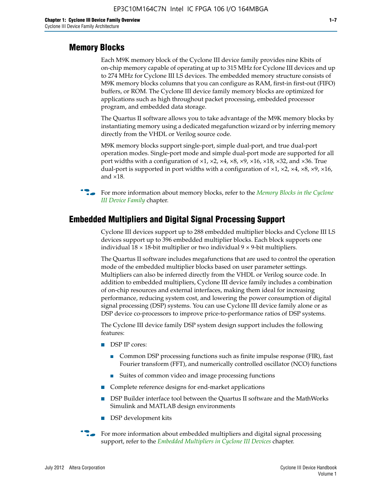#### **Memory Blocks**

Each M9K memory block of the Cyclone III device family provides nine Kbits of on-chip memory capable of operating at up to 315 MHz for Cyclone III devices and up to 274 MHz for Cyclone III LS devices. The embedded memory structure consists of M9K memory blocks columns that you can configure as RAM, first-in first-out (FIFO) buffers, or ROM. The Cyclone III device family memory blocks are optimized for applications such as high throughout packet processing, embedded processor program, and embedded data storage.

The Quartus II software allows you to take advantage of the M9K memory blocks by instantiating memory using a dedicated megafunction wizard or by inferring memory directly from the VHDL or Verilog source code.

M9K memory blocks support single-port, simple dual-port, and true dual-port operation modes. Single-port mode and simple dual-port mode are supported for all port widths with a configuration of  $\times1$ ,  $\times2$ ,  $\times4$ ,  $\times8$ ,  $\times9$ ,  $\times16$ ,  $\times18$ ,  $\times32$ , and  $\times36$ . True dual-port is supported in port widths with a configuration of  $\times$ 1,  $\times$ 2,  $\times$ 4,  $\times$ 8,  $\times$ 9,  $\times$ 16, and ×18.



**For more information about memory blocks, refer to the** *Memory Blocks in the Cyclone [III Device Family](http://www.altera.com/literature/hb/cyc3/cyc3_ciii51004.pdf)* chapter.

#### **Embedded Multipliers and Digital Signal Processing Support**

Cyclone III devices support up to 288 embedded multiplier blocks and Cyclone III LS devices support up to 396 embedded multiplier blocks. Each block supports one individual  $18 \times 18$ -bit multiplier or two individual  $9 \times 9$ -bit multipliers.

The Quartus II software includes megafunctions that are used to control the operation mode of the embedded multiplier blocks based on user parameter settings. Multipliers can also be inferred directly from the VHDL or Verilog source code. In addition to embedded multipliers, Cyclone III device family includes a combination of on-chip resources and external interfaces, making them ideal for increasing performance, reducing system cost, and lowering the power consumption of digital signal processing (DSP) systems. You can use Cyclone III device family alone or as DSP device co-processors to improve price-to-performance ratios of DSP systems.

The Cyclone III device family DSP system design support includes the following features:

- DSP IP cores:
	- Common DSP processing functions such as finite impulse response (FIR), fast Fourier transform (FFT), and numerically controlled oscillator (NCO) functions
	- Suites of common video and image processing functions
- Complete reference designs for end-market applications
- DSP Builder interface tool between the Quartus II software and the MathWorks Simulink and MATLAB design environments
- DSP development kits
- For more information about embedded multipliers and digital signal processing support, refer to the *[Embedded Multipliers in Cyclone III Devices](http://www.altera.com/literature/hb/cyc3/cyc3_ciii51005.pdf)* chapter.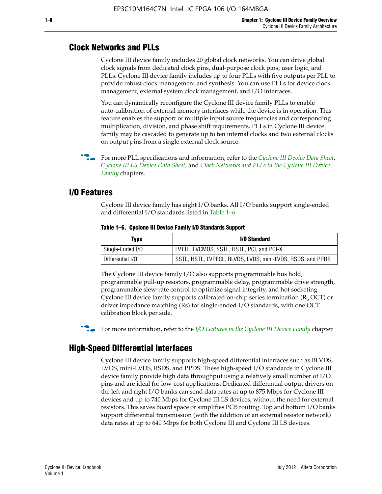#### **Clock Networks and PLLs**

Cyclone III device family includes 20 global clock networks. You can drive global clock signals from dedicated clock pins, dual-purpose clock pins, user logic, and PLLs. Cyclone III device family includes up to four PLLs with five outputs per PLL to provide robust clock management and synthesis. You can use PLLs for device clock management, external system clock management, and I/O interfaces.

You can dynamically reconfigure the Cyclone III device family PLLs to enable auto-calibration of external memory interfaces while the device is in operation. This feature enables the support of multiple input source frequencies and corresponding multiplication, division, and phase shift requirements. PLLs in Cyclone III device family may be cascaded to generate up to ten internal clocks and two external clocks on output pins from a single external clock source.

**For more PLL specifications and information, refer to the** *[Cyclone III Device Data Sheet](http://www.altera.com/literature/hb/cyc3/cyc3_ciii52001.pdf)***,** *[Cyclone III LS Device Data Sheet](http://www.altera.com/literature/hb/cyc3/cyc3_ciii52002.pdf)*, and *[Clock Networks and PLLs in the Cyclone III Device](http://www.altera.com/literature/hb/cyc3/cyc3_ciii51006.pdf)  [Family](http://www.altera.com/literature/hb/cyc3/cyc3_ciii51006.pdf)* chapters.

#### **I/O Features**

Cyclone III device family has eight I/O banks. All I/O banks support single-ended and differential I/O standards listed in Table 1–6.

| Type             | <b>I/O Standard</b>                                        |
|------------------|------------------------------------------------------------|
| Single-Ended I/O | LVTTL, LVCMOS, SSTL, HSTL, PCI, and PCI-X                  |
| Differential I/O | SSTL, HSTL, LVPECL, BLVDS, LVDS, mini-LVDS, RSDS, and PPDS |

**Table 1–6. Cyclone III Device Family I/O Standards Support** 

The Cyclone III device family I/O also supports programmable bus hold, programmable pull-up resistors, programmable delay, programmable drive strength, programmable slew-rate control to optimize signal integrity, and hot socketing. Cyclone III device family supports calibrated on-chip series termination ( $R_S$  OCT) or driver impedance matching (Rs) for single-ended I/O standards, with one OCT calibration block per side.

For more information, refer to the *[I/O Features in the Cyclone III Device Family](http://www.altera.com/literature/hb/cyc3/cyc3_ciii51007.pdf)* chapter.

#### **High-Speed Differential Interfaces**

Cyclone III device family supports high-speed differential interfaces such as BLVDS, LVDS, mini-LVDS, RSDS, and PPDS. These high-speed I/O standards in Cyclone III device family provide high data throughput using a relatively small number of I/O pins and are ideal for low-cost applications. Dedicated differential output drivers on the left and right I/O banks can send data rates at up to 875 Mbps for Cyclone III devices and up to 740 Mbps for Cyclone III LS devices, without the need for external resistors. This saves board space or simplifies PCB routing. Top and bottom I/O banks support differential transmission (with the addition of an external resistor network) data rates at up to 640 Mbps for both Cyclone III and Cyclone III LS devices.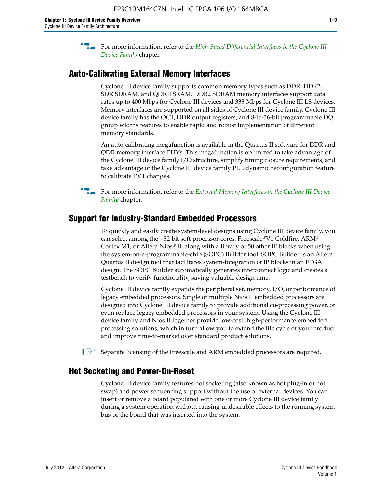**For more information, refer to the** *High-Speed Differential Interfaces in the Cyclone III* $\overline{a}$ *[Device Family](http://www.altera.com/literature/hb/cyc3/cyc3_ciii51008.pdf)* chapter.

#### **Auto-Calibrating External Memory Interfaces**

Cyclone III device family supports common memory types such as DDR, DDR2, SDR SDRAM, and QDRII SRAM. DDR2 SDRAM memory interfaces support data rates up to 400 Mbps for Cyclone III devices and 333 Mbps for Cyclone III LS devices. Memory interfaces are supported on all sides of Cyclone III device family. Cyclone III device family has the OCT, DDR output registers, and 8-to-36-bit programmable DQ group widths features to enable rapid and robust implementation of different memory standards.

An auto-calibrating megafunction is available in the Quartus II software for DDR and QDR memory interface PHYs. This megafunction is optimized to take advantage of the Cyclone III device family I/O structure, simplify timing closure requirements, and take advantage of the Cyclone III device family PLL dynamic reconfiguration feature to calibrate PVT changes.

**For more information, refer to the** *External Memory Interfaces in the Cyclone III Device* $\overline{\phantom{a}}$ *[Family](http://www.altera.com/literature/hb/cyc3/cyc3_ciii51009.pdf)* chapter.

#### **Support for Industry-Standard Embedded Processors**

To quickly and easily create system-level designs using Cyclone III device family, you can select among the ×32-bit soft processor cores: Freescale®V1 Coldfire, ARM® Cortex M1, or Altera Nios® II, along with a library of 50 other IP blocks when using the system-on-a-programmable-chip (SOPC) Builder tool. SOPC Builder is an Altera Quartus II design tool that facilitates system-integration of IP blocks in an FPGA design. The SOPC Builder automatically generates interconnect logic and creates a testbench to verify functionality, saving valuable design time.

Cyclone III device family expands the peripheral set, memory, I/O, or performance of legacy embedded processors. Single or multiple Nios II embedded processors are designed into Cyclone III device family to provide additional co-processing power, or even replace legacy embedded processors in your system. Using the Cyclone III device family and Nios II together provide low-cost, high-performance embedded processing solutions, which in turn allow you to extend the life cycle of your product and improve time-to-market over standard product solutions.

 $\mathbb{I}$  Separate licensing of the Freescale and ARM embedded processors are required.

#### **Hot Socketing and Power-On-Reset**

Cyclone III device family features hot socketing (also known as hot plug-in or hot swap) and power sequencing support without the use of external devices. You can insert or remove a board populated with one or more Cyclone III device family during a system operation without causing undesirable effects to the running system bus or the board that was inserted into the system.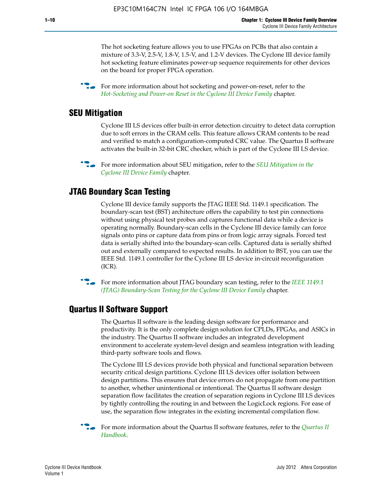The hot socketing feature allows you to use FPGAs on PCBs that also contain a mixture of 3.3-V, 2.5-V, 1.8-V, 1.5-V, and 1.2-V devices. The Cyclone III device family hot socketing feature eliminates power-up sequence requirements for other devices on the board for proper FPGA operation.

For more information about hot socketing and power-on-reset, refer to the *[Hot-Socketing and Power-on Reset in the Cyclone III Device Family](http://www.altera.com/literature/hb/cyc3/cyc3_ciii51011.pdf)* chapter.

#### **SEU Mitigation**

Cyclone III LS devices offer built-in error detection circuitry to detect data corruption due to soft errors in the CRAM cells. This feature allows CRAM contents to be read and verified to match a configuration-computed CRC value. The Quartus II software activates the built-in 32-bit CRC checker, which is part of the Cyclone III LS device.

**For more information about SEU mitigation, refer to the** *SEU Mitigation in the [Cyclone III Device Family](http://www.altera.com/literature/hb/cyc3/cyc3_ciii51013.pdf)* chapter.

#### **JTAG Boundary Scan Testing**

Cyclone III device family supports the JTAG IEEE Std. 1149.1 specification. The boundary-scan test (BST) architecture offers the capability to test pin connections without using physical test probes and captures functional data while a device is operating normally. Boundary-scan cells in the Cyclone III device family can force signals onto pins or capture data from pins or from logic array signals. Forced test data is serially shifted into the boundary-scan cells. Captured data is serially shifted out and externally compared to expected results. In addition to BST, you can use the IEEE Std. 1149.1 controller for the Cyclone III LS device in-circuit reconfiguration (ICR).

**f f**or more information about JTAG boundary scan testing, refer to the *IEEE* 1149.1 *[\(JTAG\) Boundary-Scan Testing for the Cyclone III Device Family](http://www.altera.com/literature/hb/cyc3/cyc3_ciii51014.pdf)* chapter.

#### **Quartus II Software Support**

The Quartus II software is the leading design software for performance and productivity. It is the only complete design solution for CPLDs, FPGAs, and ASICs in the industry. The Quartus II software includes an integrated development environment to accelerate system-level design and seamless integration with leading third-party software tools and flows.

The Cyclone III LS devices provide both physical and functional separation between security critical design partitions. Cyclone III LS devices offer isolation between design partitions. This ensures that device errors do not propagate from one partition to another, whether unintentional or intentional. The Quartus II software design separation flow facilitates the creation of separation regions in Cyclone III LS devices by tightly controlling the routing in and between the LogicLock regions. For ease of use, the separation flow integrates in the existing incremental compilation flow.

f For more information about the Quartus II software features, refer to the *[Quartus II](http://www.altera.com/literature/hb/qts/quartusii_handbook.pdf)  [Handbook](http://www.altera.com/literature/hb/qts/quartusii_handbook.pdf)*.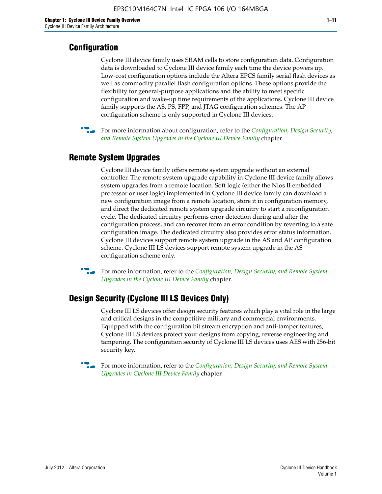#### **Configuration**

Cyclone III device family uses SRAM cells to store configuration data. Configuration data is downloaded to Cyclone III device family each time the device powers up. Low-cost configuration options include the Altera EPCS family serial flash devices as well as commodity parallel flash configuration options. These options provide the flexibility for general-purpose applications and the ability to meet specific configuration and wake-up time requirements of the applications. Cyclone III device family supports the AS, PS, FPP, and JTAG configuration schemes. The AP configuration scheme is only supported in Cyclone III devices.



f For more information about configuration, refer to the *[Configuration, Design Security,](http://www.altera.com/literature/hb/cyc3/cyc3_ciii51016.pdf)  [and Remote System Upgrades in the Cyclone III Device Family](http://www.altera.com/literature/hb/cyc3/cyc3_ciii51016.pdf)* chapter.

#### **Remote System Upgrades**

Cyclone III device family offers remote system upgrade without an external controller. The remote system upgrade capability in Cyclone III device family allows system upgrades from a remote location. Soft logic (either the Nios II embedded processor or user logic) implemented in Cyclone III device family can download a new configuration image from a remote location, store it in configuration memory, and direct the dedicated remote system upgrade circuitry to start a reconfiguration cycle. The dedicated circuitry performs error detection during and after the configuration process, and can recover from an error condition by reverting to a safe configuration image. The dedicated circuitry also provides error status information. Cyclone III devices support remote system upgrade in the AS and AP configuration scheme. Cyclone III LS devices support remote system upgrade in the AS configuration scheme only.

**For more information, refer to the** *Configuration*, Design Security, and Remote System *[Upgrades in the Cyclone III Device Family](http://www.altera.com/literature/hb/cyc3/cyc3_ciii51016.pdf)* chapter.

#### **Design Security (Cyclone III LS Devices Only)**

Cyclone III LS devices offer design security features which play a vital role in the large and critical designs in the competitive military and commercial environments. Equipped with the configuration bit stream encryption and anti-tamper features, Cyclone III LS devices protect your designs from copying, reverse engineering and tampering. The configuration security of Cyclone III LS devices uses AES with 256-bit security key.

f For more information, refer to the *[Configuration, Design Security, and Remote System](http://www.altera.com/literature/hb/cyc3/cyc3_ciii51016.pdf)  [Upgrades in Cyclone III Device Family](http://www.altera.com/literature/hb/cyc3/cyc3_ciii51016.pdf)* chapter.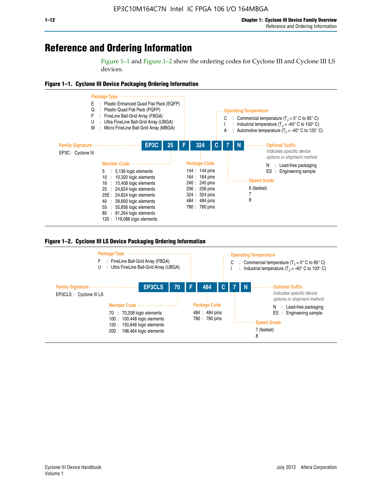## **Reference and Ordering Information**

Figure 1–1 and Figure 1–2 show the ordering codes for Cyclone III and Cyclone III LS devices.







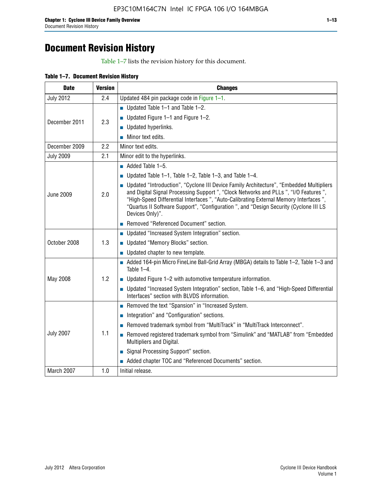## **Document Revision History**

Table 1–7 lists the revision history for this document.

| Table 1-7. Document Revision History |
|--------------------------------------|
|--------------------------------------|

| <b>Date</b>      | <b>Version</b> | <b>Changes</b>                                                                                                                                                                                                                                                                                                                                                                          |
|------------------|----------------|-----------------------------------------------------------------------------------------------------------------------------------------------------------------------------------------------------------------------------------------------------------------------------------------------------------------------------------------------------------------------------------------|
| <b>July 2012</b> | 2.4            | Updated 484 pin package code in Figure 1-1.                                                                                                                                                                                                                                                                                                                                             |
|                  |                | ■ Updated Table $1-1$ and Table $1-2$ .                                                                                                                                                                                                                                                                                                                                                 |
| December 2011    | 2.3            | ■ Updated Figure $1-1$ and Figure $1-2$ .                                                                                                                                                                                                                                                                                                                                               |
|                  |                | Updated hyperlinks.                                                                                                                                                                                                                                                                                                                                                                     |
|                  |                | Minor text edits.                                                                                                                                                                                                                                                                                                                                                                       |
| December 2009    | 2.2            | Minor text edits.                                                                                                                                                                                                                                                                                                                                                                       |
| <b>July 2009</b> | 2.1            | Minor edit to the hyperlinks.                                                                                                                                                                                                                                                                                                                                                           |
|                  |                | $\blacksquare$ Added Table 1-5.                                                                                                                                                                                                                                                                                                                                                         |
|                  |                | ■ Updated Table 1–1, Table 1–2, Table 1–3, and Table 1–4.                                                                                                                                                                                                                                                                                                                               |
| <b>June 2009</b> | 2.0            | • Updated "Introduction", "Cyclone III Device Family Architecture", "Embedded Multipliers<br>and Digital Signal Processing Support ", "Clock Networks and PLLs ", "I/O Features ",<br>"High-Speed Differential Interfaces ", "Auto-Calibrating External Memory Interfaces",<br>"Quartus II Software Support", "Configuration ", and "Design Security (Cyclone III LS<br>Devices Only)". |
|                  |                | Removed "Referenced Document" section.                                                                                                                                                                                                                                                                                                                                                  |
|                  |                | • Updated "Increased System Integration" section.                                                                                                                                                                                                                                                                                                                                       |
| October 2008     | 1.3            | Updated "Memory Blocks" section.                                                                                                                                                                                                                                                                                                                                                        |
|                  |                | • Updated chapter to new template.                                                                                                                                                                                                                                                                                                                                                      |
|                  |                | Added 164-pin Micro FineLine Ball-Grid Array (MBGA) details to Table 1-2, Table 1-3 and<br>Table $1-4$ .                                                                                                                                                                                                                                                                                |
| May 2008         | 1.2            | $\blacksquare$ Updated Figure 1-2 with automotive temperature information.                                                                                                                                                                                                                                                                                                              |
|                  |                | • Updated "Increased System Integration" section, Table 1-6, and "High-Speed Differential<br>Interfaces" section with BLVDS information.                                                                                                                                                                                                                                                |
|                  |                | Removed the text "Spansion" in "Increased System.                                                                                                                                                                                                                                                                                                                                       |
|                  |                | Integration" and "Configuration" sections.                                                                                                                                                                                                                                                                                                                                              |
|                  |                | Removed trademark symbol from "MultiTrack" in "MultiTrack Interconnect".                                                                                                                                                                                                                                                                                                                |
| <b>July 2007</b> | 1.1            | Removed registered trademark symbol from "Simulink" and "MATLAB" from "Embedded<br>Multipliers and Digital.                                                                                                                                                                                                                                                                             |
|                  |                | Signal Processing Support" section.                                                                                                                                                                                                                                                                                                                                                     |
|                  |                | Added chapter TOC and "Referenced Documents" section.                                                                                                                                                                                                                                                                                                                                   |
| March 2007       | 1.0            | Initial release.                                                                                                                                                                                                                                                                                                                                                                        |